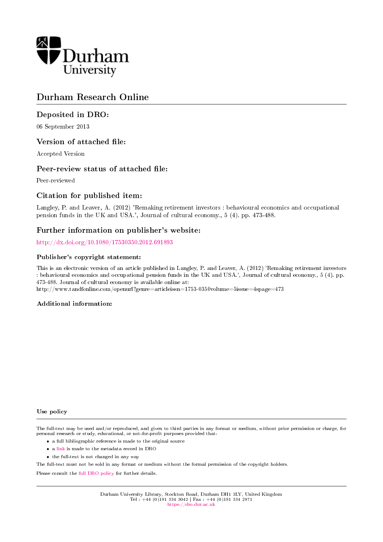

# Durham Research Online

# Deposited in DRO:

06 September 2013

# Version of attached file:

Accepted Version

# Peer-review status of attached file:

Peer-reviewed

# Citation for published item:

Langley, P. and Leaver, A. (2012) 'Remaking retirement investors : behavioural economics and occupational pension funds in the UK and USA.', Journal of cultural economy., 5 (4). pp. 473-488.

# Further information on publisher's website:

<http://dx.doi.org/10.1080/17530350.2012.691893>

### Publisher's copyright statement:

This is an electronic version of an article published in Langley, P. and Leaver, A. (2012) 'Remaking retirement investors : behavioural economics and occupational pension funds in the UK and USA.', Journal of cultural economy., 5 (4). pp. 473-488. Journal of cultural economy is available online at:

http://www.tandfonline.com/openurl?genre=articleissn=1753-0350volume=5issue=4spage=473

#### Additional information:

#### Use policy

The full-text may be used and/or reproduced, and given to third parties in any format or medium, without prior permission or charge, for personal research or study, educational, or not-for-profit purposes provided that:

- a full bibliographic reference is made to the original source
- a [link](http://dro.dur.ac.uk/11324/) is made to the metadata record in DRO
- the full-text is not changed in any way

The full-text must not be sold in any format or medium without the formal permission of the copyright holders.

Please consult the [full DRO policy](https://dro.dur.ac.uk/policies/usepolicy.pdf) for further details.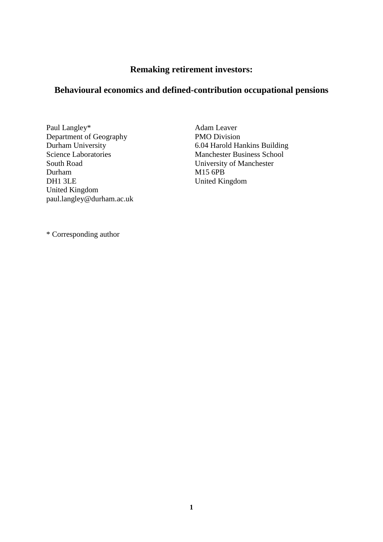# **Remaking retirement investors:**

# **Behavioural economics and defined-contribution occupational pensions**

Paul Langley\* Department of Geography Durham University Science Laboratories South Road Durham DH1 3LE United Kingdom paul.langley@durham.ac.uk Adam Leaver PMO Division 6.04 Harold Hankins Building Manchester Business School University of Manchester M15 6PB United Kingdom

\* Corresponding author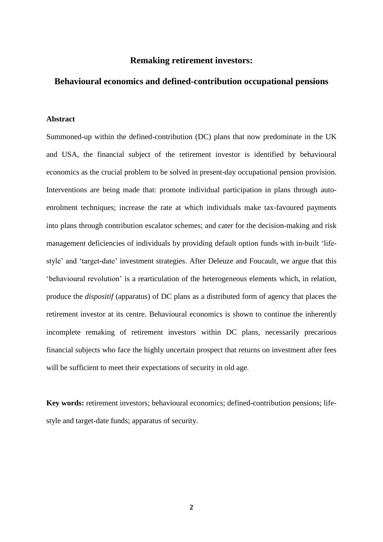# **Remaking retirement investors:**

# **Behavioural economics and defined-contribution occupational pensions**

### **Abstract**

Summoned-up within the defined-contribution (DC) plans that now predominate in the UK and USA, the financial subject of the retirement investor is identified by behavioural economics as the crucial problem to be solved in present-day occupational pension provision. Interventions are being made that: promote individual participation in plans through autoenrolment techniques; increase the rate at which individuals make tax-favoured payments into plans through contribution escalator schemes; and cater for the decision-making and risk management deficiencies of individuals by providing default option funds with in-built 'lifestyle' and 'target-date' investment strategies. After Deleuze and Foucault, we argue that this 'behavioural revolution' is a rearticulation of the heterogeneous elements which, in relation, produce the *dispositif* (apparatus) of DC plans as a distributed form of agency that places the retirement investor at its centre. Behavioural economics is shown to continue the inherently incomplete remaking of retirement investors within DC plans, necessarily precarious financial subjects who face the highly uncertain prospect that returns on investment after fees will be sufficient to meet their expectations of security in old age.

**Key words:** retirement investors; behavioural economics; defined-contribution pensions; lifestyle and target-date funds; apparatus of security.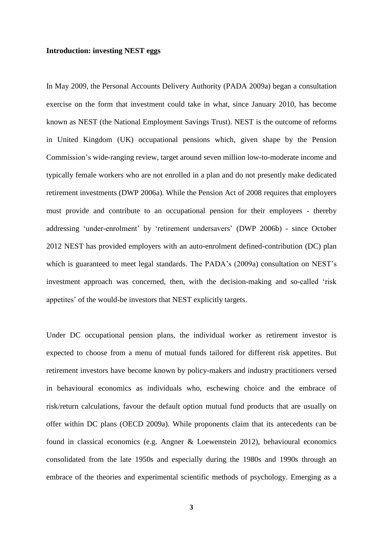### **Introduction: investing NEST eggs**

In May 2009, the Personal Accounts Delivery Authority (PADA 2009a) began a consultation exercise on the form that investment could take in what, since January 2010, has become known as NEST (the National Employment Savings Trust). NEST is the outcome of reforms in United Kingdom (UK) occupational pensions which, given shape by the Pension Commission's wide-ranging review, target around seven million low-to-moderate income and typically female workers who are not enrolled in a plan and do not presently make dedicated retirement investments (DWP 2006a). While the Pension Act of 2008 requires that employers must provide and contribute to an occupational pension for their employees - thereby addressing 'under-enrolment' by 'retirement undersavers' (DWP 2006b) - since October 2012 NEST has provided employers with an auto-enrolment defined-contribution (DC) plan which is guaranteed to meet legal standards. The PADA's (2009a) consultation on NEST's investment approach was concerned, then, with the decision-making and so-called 'risk appetites' of the would-be investors that NEST explicitly targets.

Under DC occupational pension plans, the individual worker as retirement investor is expected to choose from a menu of mutual funds tailored for different risk appetites. But retirement investors have become known by policy-makers and industry practitioners versed in behavioural economics as individuals who, eschewing choice and the embrace of risk/return calculations, favour the default option mutual fund products that are usually on offer within DC plans (OECD 2009a). While proponents claim that its antecedents can be found in classical economics (e.g. Angner & Loewenstein 2012), behavioural economics consolidated from the late 1950s and especially during the 1980s and 1990s through an embrace of the theories and experimental scientific methods of psychology. Emerging as a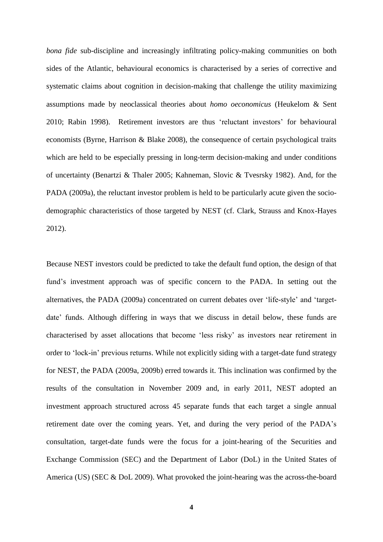*bona fide* sub-discipline and increasingly infiltrating policy-making communities on both sides of the Atlantic, behavioural economics is characterised by a series of corrective and systematic claims about cognition in decision-making that challenge the utility maximizing assumptions made by neoclassical theories about *homo oeconomicus* (Heukelom & Sent 2010; Rabin 1998). Retirement investors are thus 'reluctant investors' for behavioural economists (Byrne, Harrison & Blake 2008), the consequence of certain psychological traits which are held to be especially pressing in long-term decision-making and under conditions of uncertainty (Benartzi & Thaler 2005; Kahneman, Slovic & Tvesrsky 1982). And, for the PADA (2009a), the reluctant investor problem is held to be particularly acute given the sociodemographic characteristics of those targeted by NEST (cf. Clark, Strauss and Knox-Hayes 2012).

Because NEST investors could be predicted to take the default fund option, the design of that fund's investment approach was of specific concern to the PADA. In setting out the alternatives, the PADA (2009a) concentrated on current debates over 'life-style' and 'targetdate' funds. Although differing in ways that we discuss in detail below, these funds are characterised by asset allocations that become 'less risky' as investors near retirement in order to 'lock-in' previous returns. While not explicitly siding with a target-date fund strategy for NEST, the PADA (2009a, 2009b) erred towards it. This inclination was confirmed by the results of the consultation in November 2009 and, in early 2011, NEST adopted an investment approach structured across 45 separate funds that each target a single annual retirement date over the coming years. Yet, and during the very period of the PADA's consultation, target-date funds were the focus for a joint-hearing of the Securities and Exchange Commission (SEC) and the Department of Labor (DoL) in the United States of America (US) (SEC & DoL 2009). What provoked the joint-hearing was the across-the-board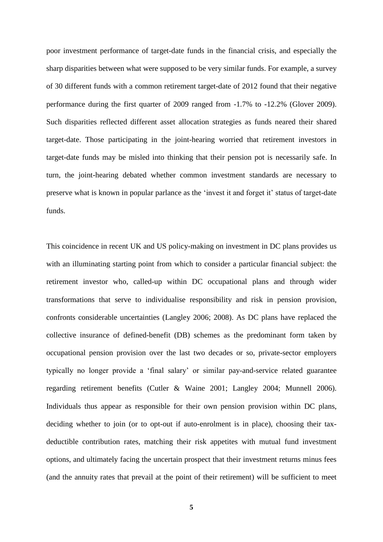poor investment performance of target-date funds in the financial crisis, and especially the sharp disparities between what were supposed to be very similar funds. For example, a survey of 30 different funds with a common retirement target-date of 2012 found that their negative performance during the first quarter of 2009 ranged from -1.7% to -12.2% (Glover 2009). Such disparities reflected different asset allocation strategies as funds neared their shared target-date. Those participating in the joint-hearing worried that retirement investors in target-date funds may be misled into thinking that their pension pot is necessarily safe. In turn, the joint-hearing debated whether common investment standards are necessary to preserve what is known in popular parlance as the 'invest it and forget it' status of target-date funds.

This coincidence in recent UK and US policy-making on investment in DC plans provides us with an illuminating starting point from which to consider a particular financial subject: the retirement investor who, called-up within DC occupational plans and through wider transformations that serve to individualise responsibility and risk in pension provision, confronts considerable uncertainties (Langley 2006; 2008). As DC plans have replaced the collective insurance of defined-benefit (DB) schemes as the predominant form taken by occupational pension provision over the last two decades or so, private-sector employers typically no longer provide a 'final salary' or similar pay-and-service related guarantee regarding retirement benefits (Cutler & Waine 2001; Langley 2004; Munnell 2006). Individuals thus appear as responsible for their own pension provision within DC plans, deciding whether to join (or to opt-out if auto-enrolment is in place), choosing their taxdeductible contribution rates, matching their risk appetites with mutual fund investment options, and ultimately facing the uncertain prospect that their investment returns minus fees (and the annuity rates that prevail at the point of their retirement) will be sufficient to meet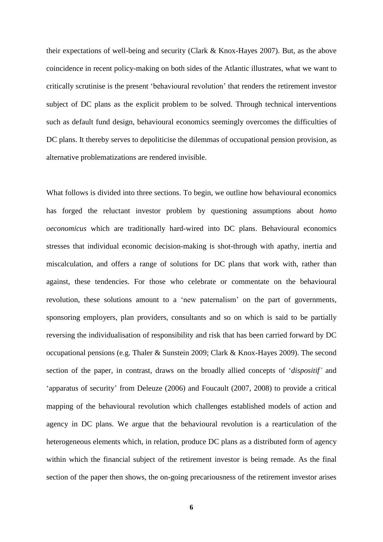their expectations of well-being and security (Clark & Knox-Hayes 2007). But, as the above coincidence in recent policy-making on both sides of the Atlantic illustrates, what we want to critically scrutinise is the present 'behavioural revolution' that renders the retirement investor subject of DC plans as the explicit problem to be solved. Through technical interventions such as default fund design, behavioural economics seemingly overcomes the difficulties of DC plans. It thereby serves to depoliticise the dilemmas of occupational pension provision, as alternative problematizations are rendered invisible.

What follows is divided into three sections. To begin, we outline how behavioural economics has forged the reluctant investor problem by questioning assumptions about *homo oeconomicus* which are traditionally hard-wired into DC plans. Behavioural economics stresses that individual economic decision-making is shot-through with apathy, inertia and miscalculation, and offers a range of solutions for DC plans that work with, rather than against, these tendencies. For those who celebrate or commentate on the behavioural revolution, these solutions amount to a 'new paternalism' on the part of governments, sponsoring employers, plan providers, consultants and so on which is said to be partially reversing the individualisation of responsibility and risk that has been carried forward by DC occupational pensions (e.g. Thaler & Sunstein 2009; Clark & Knox-Hayes 2009). The second section of the paper, in contrast, draws on the broadly allied concepts of '*dispositif'* and 'apparatus of security' from Deleuze (2006) and Foucault (2007, 2008) to provide a critical mapping of the behavioural revolution which challenges established models of action and agency in DC plans. We argue that the behavioural revolution is a rearticulation of the heterogeneous elements which, in relation, produce DC plans as a distributed form of agency within which the financial subject of the retirement investor is being remade. As the final section of the paper then shows, the on-going precariousness of the retirement investor arises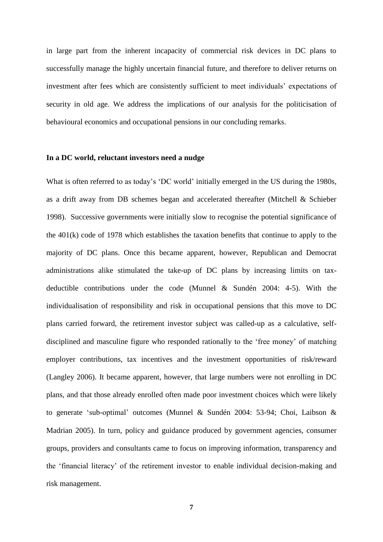in large part from the inherent incapacity of commercial risk devices in DC plans to successfully manage the highly uncertain financial future, and therefore to deliver returns on investment after fees which are consistently sufficient to meet individuals' expectations of security in old age. We address the implications of our analysis for the politicisation of behavioural economics and occupational pensions in our concluding remarks.

### **In a DC world, reluctant investors need a nudge**

What is often referred to as today's 'DC world' initially emerged in the US during the 1980s, as a drift away from DB schemes began and accelerated thereafter (Mitchell & Schieber 1998). Successive governments were initially slow to recognise the potential significance of the 401(k) code of 1978 which establishes the taxation benefits that continue to apply to the majority of DC plans. Once this became apparent, however, Republican and Democrat administrations alike stimulated the take-up of DC plans by increasing limits on taxdeductible contributions under the code (Munnel & Sundén 2004: 4-5). With the individualisation of responsibility and risk in occupational pensions that this move to DC plans carried forward, the retirement investor subject was called-up as a calculative, selfdisciplined and masculine figure who responded rationally to the 'free money' of matching employer contributions, tax incentives and the investment opportunities of risk/reward (Langley 2006). It became apparent, however, that large numbers were not enrolling in DC plans, and that those already enrolled often made poor investment choices which were likely to generate 'sub-optimal' outcomes (Munnel & Sundén 2004: 53-94; Choi, Laibson & Madrian 2005). In turn, policy and guidance produced by government agencies, consumer groups, providers and consultants came to focus on improving information, transparency and the 'financial literacy' of the retirement investor to enable individual decision-making and risk management.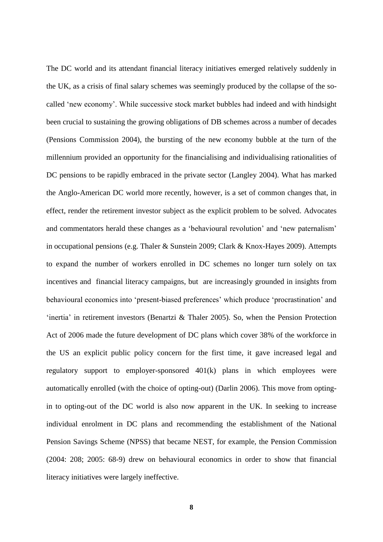The DC world and its attendant financial literacy initiatives emerged relatively suddenly in the UK, as a crisis of final salary schemes was seemingly produced by the collapse of the socalled 'new economy'. While successive stock market bubbles had indeed and with hindsight been crucial to sustaining the growing obligations of DB schemes across a number of decades (Pensions Commission 2004), the bursting of the new economy bubble at the turn of the millennium provided an opportunity for the financialising and individualising rationalities of DC pensions to be rapidly embraced in the private sector (Langley 2004). What has marked the Anglo-American DC world more recently, however, is a set of common changes that, in effect, render the retirement investor subject as the explicit problem to be solved. Advocates and commentators herald these changes as a 'behavioural revolution' and 'new paternalism' in occupational pensions (e.g. Thaler & Sunstein 2009; Clark & Knox-Hayes 2009). Attempts to expand the number of workers enrolled in DC schemes no longer turn solely on tax incentives and financial literacy campaigns, but are increasingly grounded in insights from behavioural economics into 'present-biased preferences' which produce 'procrastination' and 'inertia' in retirement investors (Benartzi & Thaler 2005). So, when the Pension Protection Act of 2006 made the future development of DC plans which cover 38% of the workforce in the US an explicit public policy concern for the first time, it gave increased legal and regulatory support to employer-sponsored 401(k) plans in which employees were automatically enrolled (with the choice of opting-out) (Darlin 2006). This move from optingin to opting-out of the DC world is also now apparent in the UK. In seeking to increase individual enrolment in DC plans and recommending the establishment of the National Pension Savings Scheme (NPSS) that became NEST, for example, the Pension Commission (2004: 208; 2005: 68-9) drew on behavioural economics in order to show that financial literacy initiatives were largely ineffective.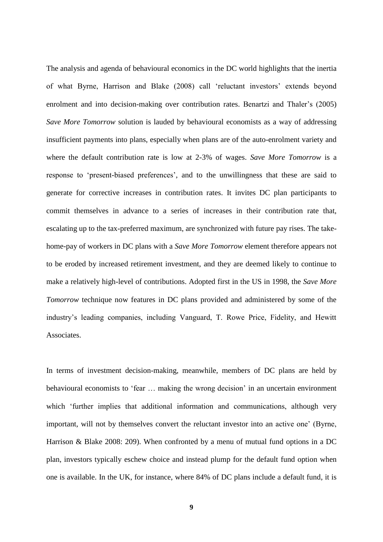The analysis and agenda of behavioural economics in the DC world highlights that the inertia of what Byrne, Harrison and Blake (2008) call 'reluctant investors' extends beyond enrolment and into decision-making over contribution rates. Benartzi and Thaler's (2005) *Save More Tomorrow* solution is lauded by behavioural economists as a way of addressing insufficient payments into plans, especially when plans are of the auto-enrolment variety and where the default contribution rate is low at 2-3% of wages. *Save More Tomorrow* is a response to 'present-biased preferences', and to the unwillingness that these are said to generate for corrective increases in contribution rates. It invites DC plan participants to commit themselves in advance to a series of increases in their contribution rate that, escalating up to the tax-preferred maximum, are synchronized with future pay rises. The takehome-pay of workers in DC plans with a *Save More Tomorrow* element therefore appears not to be eroded by increased retirement investment, and they are deemed likely to continue to make a relatively high-level of contributions. Adopted first in the US in 1998, the *Save More Tomorrow* technique now features in DC plans provided and administered by some of the industry's leading companies, including Vanguard, T. Rowe Price, Fidelity, and Hewitt Associates.

In terms of investment decision-making, meanwhile, members of DC plans are held by behavioural economists to 'fear … making the wrong decision' in an uncertain environment which 'further implies that additional information and communications, although very important, will not by themselves convert the reluctant investor into an active one' (Byrne, Harrison & Blake 2008: 209). When confronted by a menu of mutual fund options in a DC plan, investors typically eschew choice and instead plump for the default fund option when one is available. In the UK, for instance, where 84% of DC plans include a default fund, it is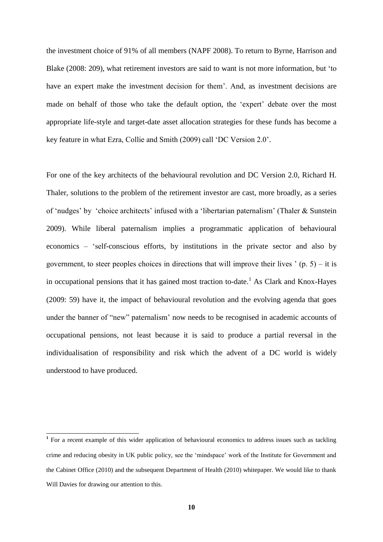the investment choice of 91% of all members (NAPF 2008). To return to Byrne, Harrison and Blake (2008: 209), what retirement investors are said to want is not more information, but 'to have an expert make the investment decision for them'. And, as investment decisions are made on behalf of those who take the default option, the 'expert' debate over the most appropriate life-style and target-date asset allocation strategies for these funds has become a key feature in what Ezra, Collie and Smith (2009) call 'DC Version 2.0'.

For one of the key architects of the behavioural revolution and DC Version 2.0, Richard H. Thaler, solutions to the problem of the retirement investor are cast, more broadly, as a series of 'nudges' by 'choice architects' infused with a 'libertarian paternalism' (Thaler & Sunstein 2009). While liberal paternalism implies a programmatic application of behavioural economics – 'self-conscious efforts, by institutions in the private sector and also by government, to steer peoples choices in directions that will improve their lives  $($ p. 5 $)$  – it is in occupational pensions that it has gained most traction to-date. <sup>1</sup> As Clark and Knox-Hayes (2009: 59) have it, the impact of behavioural revolution and the evolving agenda that goes under the banner of "new" paternalism' now needs to be recognised in academic accounts of occupational pensions, not least because it is said to produce a partial reversal in the individualisation of responsibility and risk which the advent of a DC world is widely understood to have produced.

<sup>&</sup>lt;sup>1</sup> For a recent example of this wider application of behavioural economics to address issues such as tackling crime and reducing obesity in UK public policy, see the 'mindspace' work of the Institute for Government and the Cabinet Office (2010) and the subsequent Department of Health (2010) whitepaper. We would like to thank Will Davies for drawing our attention to this.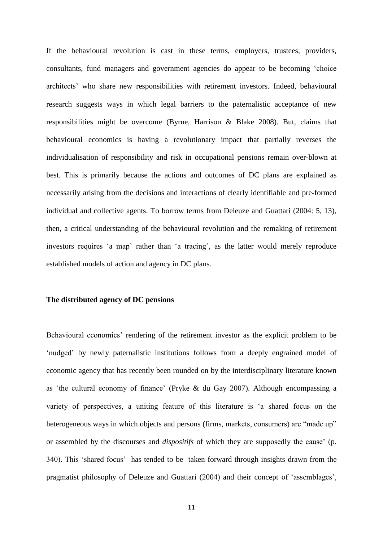If the behavioural revolution is cast in these terms, employers, trustees, providers, consultants, fund managers and government agencies do appear to be becoming 'choice architects' who share new responsibilities with retirement investors. Indeed, behavioural research suggests ways in which legal barriers to the paternalistic acceptance of new responsibilities might be overcome (Byrne, Harrison & Blake 2008). But, claims that behavioural economics is having a revolutionary impact that partially reverses the individualisation of responsibility and risk in occupational pensions remain over-blown at best. This is primarily because the actions and outcomes of DC plans are explained as necessarily arising from the decisions and interactions of clearly identifiable and pre-formed individual and collective agents. To borrow terms from Deleuze and Guattari (2004: 5, 13), then, a critical understanding of the behavioural revolution and the remaking of retirement investors requires 'a map' rather than 'a tracing', as the latter would merely reproduce established models of action and agency in DC plans.

### **The distributed agency of DC pensions**

Behavioural economics' rendering of the retirement investor as the explicit problem to be 'nudged' by newly paternalistic institutions follows from a deeply engrained model of economic agency that has recently been rounded on by the interdisciplinary literature known as 'the cultural economy of finance' (Pryke & du Gay 2007). Although encompassing a variety of perspectives, a uniting feature of this literature is 'a shared focus on the heterogeneous ways in which objects and persons (firms, markets, consumers) are "made up" or assembled by the discourses and *dispositifs* of which they are supposedly the cause' (p. 340). This 'shared focus' has tended to be taken forward through insights drawn from the pragmatist philosophy of Deleuze and Guattari (2004) and their concept of 'assemblages',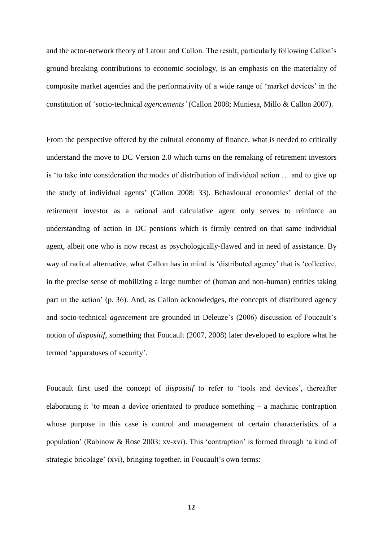and the actor-network theory of Latour and Callon. The result, particularly following Callon's ground-breaking contributions to economic sociology, is an emphasis on the materiality of composite market agencies and the performativity of a wide range of 'market devices' in the constitution of 'socio-technical *agencements'* (Callon 2008; Muniesa, Millo & Callon 2007).

From the perspective offered by the cultural economy of finance, what is needed to critically understand the move to DC Version 2.0 which turns on the remaking of retirement investors is 'to take into consideration the modes of distribution of individual action … and to give up the study of individual agents' (Callon 2008: 33). Behavioural economics' denial of the retirement investor as a rational and calculative agent only serves to reinforce an understanding of action in DC pensions which is firmly centred on that same individual agent, albeit one who is now recast as psychologically-flawed and in need of assistance. By way of radical alternative, what Callon has in mind is 'distributed agency' that is 'collective, in the precise sense of mobilizing a large number of (human and non-human) entities taking part in the action' (p. 36). And, as Callon acknowledges, the concepts of distributed agency and socio-technical *agencement* are grounded in Deleuze's (2006) discussion of Foucault's notion of *dispositif*, something that Foucault (2007, 2008) later developed to explore what he termed 'apparatuses of security'.

Foucault first used the concept of *dispositif* to refer to 'tools and devices', thereafter elaborating it 'to mean a device orientated to produce something – a machinic contraption whose purpose in this case is control and management of certain characteristics of a population' (Rabinow & Rose 2003: xv-xvi). This 'contraption' is formed through 'a kind of strategic bricolage' (xvi), bringing together, in Foucault's own terms: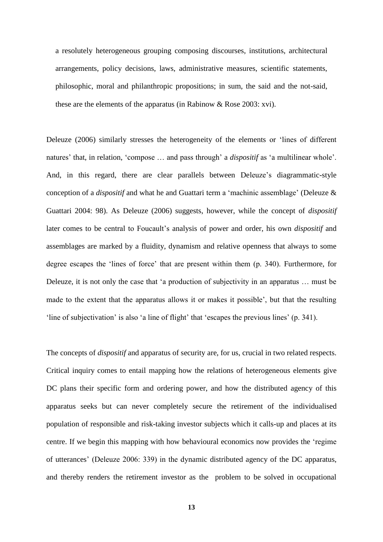a resolutely heterogeneous grouping composing discourses, institutions, architectural arrangements, policy decisions, laws, administrative measures, scientific statements, philosophic, moral and philanthropic propositions; in sum, the said and the not-said, these are the elements of the apparatus (in Rabinow & Rose 2003: xvi).

Deleuze (2006) similarly stresses the heterogeneity of the elements or 'lines of different natures' that, in relation, 'compose … and pass through' a *dispositif* as 'a multilinear whole'. And, in this regard, there are clear parallels between Deleuze's diagrammatic-style conception of a *dispositif* and what he and Guattari term a 'machinic assemblage' (Deleuze & Guattari 2004: 98). As Deleuze (2006) suggests, however, while the concept of *dispositif* later comes to be central to Foucault's analysis of power and order, his own *dispositif* and assemblages are marked by a fluidity, dynamism and relative openness that always to some degree escapes the 'lines of force' that are present within them (p. 340). Furthermore, for Deleuze, it is not only the case that 'a production of subjectivity in an apparatus … must be made to the extent that the apparatus allows it or makes it possible', but that the resulting 'line of subjectivation' is also 'a line of flight' that 'escapes the previous lines' (p. 341).

The concepts of *dispositif* and apparatus of security are, for us, crucial in two related respects. Critical inquiry comes to entail mapping how the relations of heterogeneous elements give DC plans their specific form and ordering power, and how the distributed agency of this apparatus seeks but can never completely secure the retirement of the individualised population of responsible and risk-taking investor subjects which it calls-up and places at its centre. If we begin this mapping with how behavioural economics now provides the 'regime of utterances' (Deleuze 2006: 339) in the dynamic distributed agency of the DC apparatus, and thereby renders the retirement investor as the problem to be solved in occupational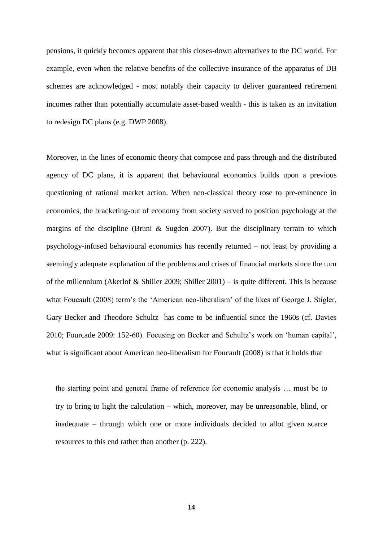pensions, it quickly becomes apparent that this closes-down alternatives to the DC world. For example, even when the relative benefits of the collective insurance of the apparatus of DB schemes are acknowledged - most notably their capacity to deliver guaranteed retirement incomes rather than potentially accumulate asset-based wealth - this is taken as an invitation to redesign DC plans (e.g. DWP 2008).

Moreover, in the lines of economic theory that compose and pass through and the distributed agency of DC plans, it is apparent that behavioural economics builds upon a previous questioning of rational market action. When neo-classical theory rose to pre-eminence in economics, the bracketing-out of economy from society served to position psychology at the margins of the discipline (Bruni & Sugden 2007). But the disciplinary terrain to which psychology-infused behavioural economics has recently returned – not least by providing a seemingly adequate explanation of the problems and crises of financial markets since the turn of the millennium (Akerlof & Shiller 2009; Shiller 2001) – is quite different. This is because what Foucault (2008) term's the 'American neo-liberalism' of the likes of George J. Stigler, Gary Becker and Theodore Schultz has come to be influential since the 1960s (cf. Davies 2010; Fourcade 2009: 152-60). Focusing on Becker and Schultz's work on 'human capital', what is significant about American neo-liberalism for Foucault (2008) is that it holds that

the starting point and general frame of reference for economic analysis … must be to try to bring to light the calculation – which, moreover, may be unreasonable, blind, or inadequate – through which one or more individuals decided to allot given scarce resources to this end rather than another (p. 222).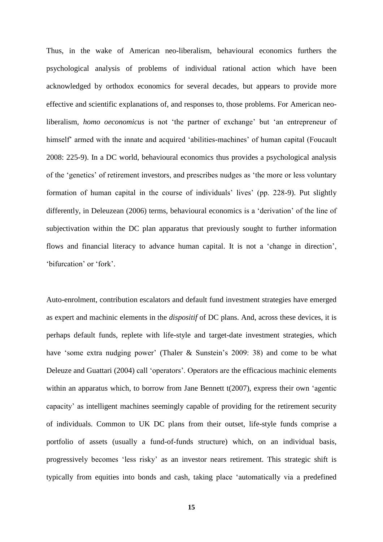Thus, in the wake of American neo-liberalism, behavioural economics furthers the psychological analysis of problems of individual rational action which have been acknowledged by orthodox economics for several decades, but appears to provide more effective and scientific explanations of, and responses to, those problems. For American neoliberalism, *homo oeconomicus* is not 'the partner of exchange' but 'an entrepreneur of himself' armed with the innate and acquired 'abilities-machines' of human capital (Foucault 2008: 225-9). In a DC world, behavioural economics thus provides a psychological analysis of the 'genetics' of retirement investors, and prescribes nudges as 'the more or less voluntary formation of human capital in the course of individuals' lives' (pp. 228-9). Put slightly differently, in Deleuzean (2006) terms, behavioural economics is a 'derivation' of the line of subjectivation within the DC plan apparatus that previously sought to further information flows and financial literacy to advance human capital. It is not a 'change in direction', 'bifurcation' or 'fork'.

Auto-enrolment, contribution escalators and default fund investment strategies have emerged as expert and machinic elements in the *dispositif* of DC plans. And, across these devices, it is perhaps default funds, replete with life-style and target-date investment strategies, which have 'some extra nudging power' (Thaler & Sunstein's 2009: 38) and come to be what Deleuze and Guattari (2004) call 'operators'. Operators are the efficacious machinic elements within an apparatus which, to borrow from Jane Bennett t(2007), express their own 'agentic capacity' as intelligent machines seemingly capable of providing for the retirement security of individuals. Common to UK DC plans from their outset, life-style funds comprise a portfolio of assets (usually a fund-of-funds structure) which, on an individual basis, progressively becomes 'less risky' as an investor nears retirement. This strategic shift is typically from equities into bonds and cash, taking place 'automatically via a predefined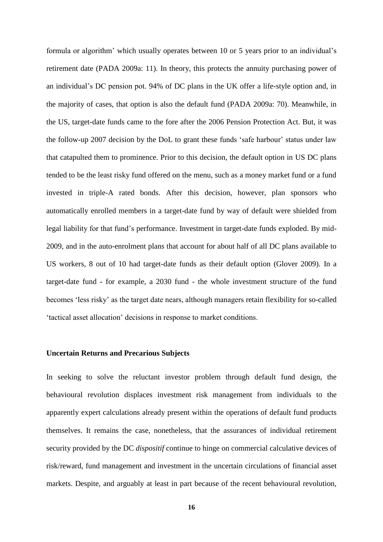formula or algorithm' which usually operates between 10 or 5 years prior to an individual's retirement date (PADA 2009a: 11). In theory, this protects the annuity purchasing power of an individual's DC pension pot. 94% of DC plans in the UK offer a life-style option and, in the majority of cases, that option is also the default fund (PADA 2009a: 70). Meanwhile, in the US, target-date funds came to the fore after the 2006 Pension Protection Act. But, it was the follow-up 2007 decision by the DoL to grant these funds 'safe harbour' status under law that catapulted them to prominence. Prior to this decision, the default option in US DC plans tended to be the least risky fund offered on the menu, such as a money market fund or a fund invested in triple-A rated bonds. After this decision, however, plan sponsors who automatically enrolled members in a target-date fund by way of default were shielded from legal liability for that fund's performance. Investment in target-date funds exploded. By mid-2009, and in the auto-enrolment plans that account for about half of all DC plans available to US workers, 8 out of 10 had target-date funds as their default option (Glover 2009). In a target-date fund - for example, a 2030 fund - the whole investment structure of the fund becomes 'less risky' as the target date nears, although managers retain flexibility for so-called 'tactical asset allocation' decisions in response to market conditions.

### **Uncertain Returns and Precarious Subjects**

In seeking to solve the reluctant investor problem through default fund design, the behavioural revolution displaces investment risk management from individuals to the apparently expert calculations already present within the operations of default fund products themselves. It remains the case, nonetheless, that the assurances of individual retirement security provided by the DC *dispositif* continue to hinge on commercial calculative devices of risk/reward, fund management and investment in the uncertain circulations of financial asset markets. Despite, and arguably at least in part because of the recent behavioural revolution,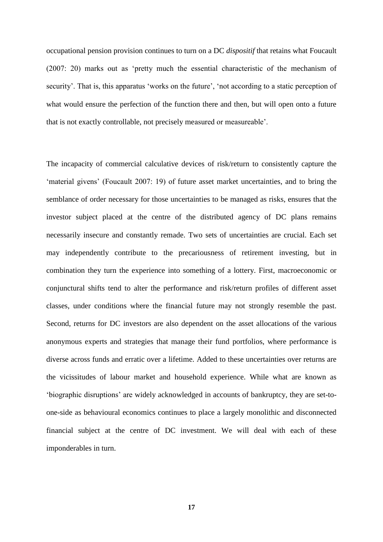occupational pension provision continues to turn on a DC *dispositif* that retains what Foucault (2007: 20) marks out as 'pretty much the essential characteristic of the mechanism of security'. That is, this apparatus 'works on the future', 'not according to a static perception of what would ensure the perfection of the function there and then, but will open onto a future that is not exactly controllable, not precisely measured or measureable'.

The incapacity of commercial calculative devices of risk/return to consistently capture the 'material givens' (Foucault 2007: 19) of future asset market uncertainties, and to bring the semblance of order necessary for those uncertainties to be managed as risks, ensures that the investor subject placed at the centre of the distributed agency of DC plans remains necessarily insecure and constantly remade. Two sets of uncertainties are crucial. Each set may independently contribute to the precariousness of retirement investing, but in combination they turn the experience into something of a lottery. First, macroeconomic or conjunctural shifts tend to alter the performance and risk/return profiles of different asset classes, under conditions where the financial future may not strongly resemble the past. Second, returns for DC investors are also dependent on the asset allocations of the various anonymous experts and strategies that manage their fund portfolios, where performance is diverse across funds and erratic over a lifetime. Added to these uncertainties over returns are the vicissitudes of labour market and household experience. While what are known as 'biographic disruptions' are widely acknowledged in accounts of bankruptcy, they are set-toone-side as behavioural economics continues to place a largely monolithic and disconnected financial subject at the centre of DC investment. We will deal with each of these imponderables in turn.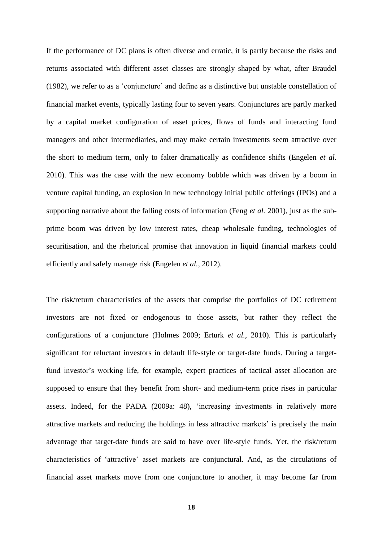If the performance of DC plans is often diverse and erratic, it is partly because the risks and returns associated with different asset classes are strongly shaped by what, after Braudel (1982), we refer to as a 'conjuncture' and define as a distinctive but unstable constellation of financial market events, typically lasting four to seven years. Conjunctures are partly marked by a capital market configuration of asset prices, flows of funds and interacting fund managers and other intermediaries, and may make certain investments seem attractive over the short to medium term, only to falter dramatically as confidence shifts (Engelen *et al.*  2010). This was the case with the new economy bubble which was driven by a boom in venture capital funding, an explosion in new technology initial public offerings (IPOs) and a supporting narrative about the falling costs of information (Feng *et al.* 2001), just as the subprime boom was driven by low interest rates, cheap wholesale funding, technologies of securitisation, and the rhetorical promise that innovation in liquid financial markets could efficiently and safely manage risk (Engelen *et al.*, 2012).

The risk/return characteristics of the assets that comprise the portfolios of DC retirement investors are not fixed or endogenous to those assets, but rather they reflect the configurations of a conjuncture (Holmes 2009; Erturk *et al.,* 2010). This is particularly significant for reluctant investors in default life-style or target-date funds. During a targetfund investor's working life, for example, expert practices of tactical asset allocation are supposed to ensure that they benefit from short- and medium-term price rises in particular assets. Indeed, for the PADA (2009a: 48), 'increasing investments in relatively more attractive markets and reducing the holdings in less attractive markets' is precisely the main advantage that target-date funds are said to have over life-style funds. Yet, the risk/return characteristics of 'attractive' asset markets are conjunctural. And, as the circulations of financial asset markets move from one conjuncture to another, it may become far from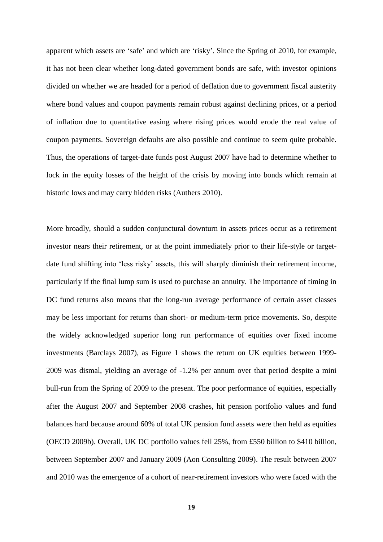apparent which assets are 'safe' and which are 'risky'. Since the Spring of 2010, for example, it has not been clear whether long-dated government bonds are safe, with investor opinions divided on whether we are headed for a period of deflation due to government fiscal austerity where bond values and coupon payments remain robust against declining prices, or a period of inflation due to quantitative easing where rising prices would erode the real value of coupon payments. Sovereign defaults are also possible and continue to seem quite probable. Thus, the operations of target-date funds post August 2007 have had to determine whether to lock in the equity losses of the height of the crisis by moving into bonds which remain at historic lows and may carry hidden risks (Authers 2010).

More broadly, should a sudden conjunctural downturn in assets prices occur as a retirement investor nears their retirement, or at the point immediately prior to their life-style or targetdate fund shifting into 'less risky' assets, this will sharply diminish their retirement income, particularly if the final lump sum is used to purchase an annuity. The importance of timing in DC fund returns also means that the long-run average performance of certain asset classes may be less important for returns than short- or medium-term price movements. So, despite the widely acknowledged superior long run performance of equities over fixed income investments (Barclays 2007), as Figure 1 shows the return on UK equities between 1999- 2009 was dismal, yielding an average of -1.2% per annum over that period despite a mini bull-run from the Spring of 2009 to the present. The poor performance of equities, especially after the August 2007 and September 2008 crashes, hit pension portfolio values and fund balances hard because around 60% of total UK pension fund assets were then held as equities (OECD 2009b). Overall, UK DC portfolio values fell 25%, from £550 billion to \$410 billion, between September 2007 and January 2009 (Aon Consulting 2009). The result between 2007 and 2010 was the emergence of a cohort of near-retirement investors who were faced with the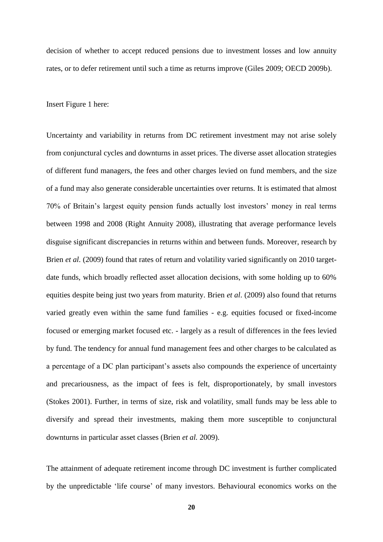decision of whether to accept reduced pensions due to investment losses and low annuity rates, or to defer retirement until such a time as returns improve (Giles 2009; OECD 2009b).

Insert Figure 1 here:

Uncertainty and variability in returns from DC retirement investment may not arise solely from conjunctural cycles and downturns in asset prices. The diverse asset allocation strategies of different fund managers, the fees and other charges levied on fund members, and the size of a fund may also generate considerable uncertainties over returns. It is estimated that almost 70% of Britain's largest equity pension funds actually lost investors' money in real terms between 1998 and 2008 (Right Annuity 2008), illustrating that average performance levels disguise significant discrepancies in returns within and between funds. Moreover, research by Brien *et al.* (2009) found that rates of return and volatility varied significantly on 2010 targetdate funds, which broadly reflected asset allocation decisions, with some holding up to 60% equities despite being just two years from maturity. Brien *et al*. (2009) also found that returns varied greatly even within the same fund families - e.g. equities focused or fixed-income focused or emerging market focused etc. - largely as a result of differences in the fees levied by fund. The tendency for annual fund management fees and other charges to be calculated as a percentage of a DC plan participant's assets also compounds the experience of uncertainty and precariousness, as the impact of fees is felt, disproportionately, by small investors (Stokes 2001). Further, in terms of size, risk and volatility, small funds may be less able to diversify and spread their investments, making them more susceptible to conjunctural downturns in particular asset classes (Brien *et al.* 2009).

The attainment of adequate retirement income through DC investment is further complicated by the unpredictable 'life course' of many investors. Behavioural economics works on the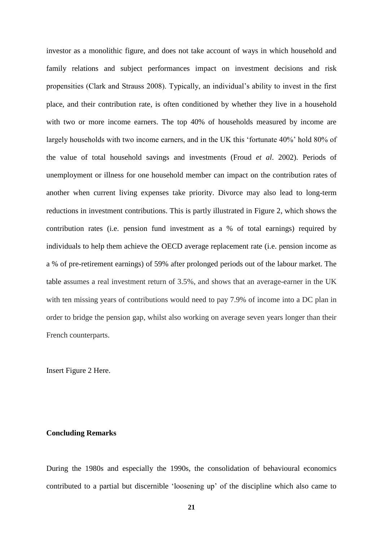investor as a monolithic figure, and does not take account of ways in which household and family relations and subject performances impact on investment decisions and risk propensities (Clark and Strauss 2008). Typically, an individual's ability to invest in the first place, and their contribution rate, is often conditioned by whether they live in a household with two or more income earners. The top 40% of households measured by income are largely households with two income earners, and in the UK this 'fortunate 40%' hold 80% of the value of total household savings and investments (Froud *et al*. 2002). Periods of unemployment or illness for one household member can impact on the contribution rates of another when current living expenses take priority. Divorce may also lead to long-term reductions in investment contributions. This is partly illustrated in Figure 2, which shows the contribution rates (i.e. pension fund investment as a % of total earnings) required by individuals to help them achieve the OECD average replacement rate (i.e. pension income as a % of pre-retirement earnings) of 59% after prolonged periods out of the labour market. The table assumes a real investment return of 3.5%, and shows that an average-earner in the UK with ten missing years of contributions would need to pay 7.9% of income into a DC plan in order to bridge the pension gap, whilst also working on average seven years longer than their French counterparts.

Insert Figure 2 Here.

### **Concluding Remarks**

During the 1980s and especially the 1990s, the consolidation of behavioural economics contributed to a partial but discernible 'loosening up' of the discipline which also came to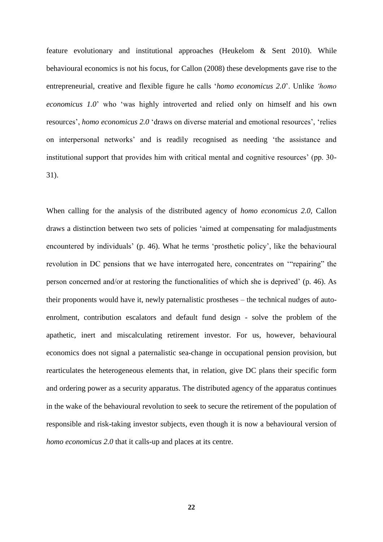feature evolutionary and institutional approaches (Heukelom & Sent 2010). While behavioural economics is not his focus, for Callon (2008) these developments gave rise to the entrepreneurial, creative and flexible figure he calls '*homo economicus 2.0*'. Unlike *'homo economicus 1.0*' who 'was highly introverted and relied only on himself and his own resources', *homo economicus 2.0* 'draws on diverse material and emotional resources', 'relies on interpersonal networks' and is readily recognised as needing 'the assistance and institutional support that provides him with critical mental and cognitive resources' (pp. 30- 31).

When calling for the analysis of the distributed agency of *homo economicus 2.0*, Callon draws a distinction between two sets of policies 'aimed at compensating for maladjustments encountered by individuals' (p. 46). What he terms 'prosthetic policy', like the behavioural revolution in DC pensions that we have interrogated here, concentrates on '"repairing" the person concerned and/or at restoring the functionalities of which she is deprived' (p. 46). As their proponents would have it, newly paternalistic prostheses – the technical nudges of autoenrolment, contribution escalators and default fund design - solve the problem of the apathetic, inert and miscalculating retirement investor. For us, however, behavioural economics does not signal a paternalistic sea-change in occupational pension provision, but rearticulates the heterogeneous elements that, in relation, give DC plans their specific form and ordering power as a security apparatus. The distributed agency of the apparatus continues in the wake of the behavioural revolution to seek to secure the retirement of the population of responsible and risk-taking investor subjects, even though it is now a behavioural version of *homo economicus 2.0* that it calls-up and places at its centre.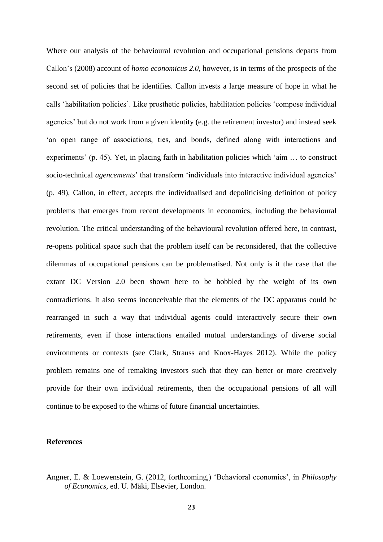Where our analysis of the behavioural revolution and occupational pensions departs from Callon's (2008) account of *homo economicus 2.0*, however, is in terms of the prospects of the second set of policies that he identifies. Callon invests a large measure of hope in what he calls 'habilitation policies'. Like prosthetic policies, habilitation policies 'compose individual agencies' but do not work from a given identity (e.g. the retirement investor) and instead seek 'an open range of associations, ties, and bonds, defined along with interactions and experiments' (p. 45). Yet, in placing faith in habilitation policies which 'aim … to construct socio-technical *agencements*' that transform 'individuals into interactive individual agencies' (p. 49), Callon, in effect, accepts the individualised and depoliticising definition of policy problems that emerges from recent developments in economics, including the behavioural revolution. The critical understanding of the behavioural revolution offered here, in contrast, re-opens political space such that the problem itself can be reconsidered, that the collective dilemmas of occupational pensions can be problematised. Not only is it the case that the extant DC Version 2.0 been shown here to be hobbled by the weight of its own contradictions. It also seems inconceivable that the elements of the DC apparatus could be rearranged in such a way that individual agents could interactively secure their own retirements, even if those interactions entailed mutual understandings of diverse social environments or contexts (see Clark, Strauss and Knox-Hayes 2012). While the policy problem remains one of remaking investors such that they can better or more creatively provide for their own individual retirements, then the occupational pensions of all will continue to be exposed to the whims of future financial uncertainties.

### **References**

Angner, E. & Loewenstein, G. (2012, forthcoming,) 'Behavioral economics', in *Philosophy of Economics*, ed. U. Mäki, Elsevier, London.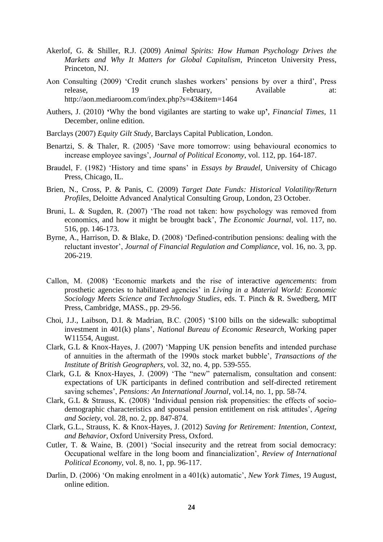- Akerlof, G. & Shiller, R.J. (2009) *Animal Spirits: How Human Psychology Drives the Markets and Why It Matters for Global Capitalism*, Princeton University Press, Princeton, NJ.
- Aon Consulting (2009) 'Credit crunch slashes workers' pensions by over a third', Press release, 19 February, Available at: http://aon.mediaroom.com/index.php?s=43&item=1464
- Authers, J. (2010) **'**Why the bond vigilantes are starting to wake up**'**, *Financial Times,* 11 December, online edition.
- Barclays (2007) *Equity Gilt Study*, Barclays Capital Publication, London.
- Benartzi, S. & Thaler, R. (2005) 'Save more tomorrow: using behavioural economics to increase employee savings', *Journal of Political Economy*, vol. 112, pp. 164-187.
- Braudel, F. (1982) 'History and time spans' in *Essays by Braudel*, University of Chicago Press, Chicago, IL.
- Brien, N., Cross, P. & Panis, C. (2009) *Target Date Funds: Historical Volatility/Return Profiles*, Deloitte Advanced Analytical Consulting Group, London, 23 October.
- Bruni, L. & Sugden, R. (2007) 'The road not taken: how psychology was removed from economics, and how it might be brought back', *The Economic Journal*, vol. 117, no. 516, pp. 146-173.
- Byrne, A., Harrison, D. & Blake, D. (2008) 'Defined-contribution pensions: dealing with the reluctant investor', *Journal of Financial Regulation and Compliance*, vol. 16, no. 3, pp. 206-219.
- Callon, M. (2008) 'Economic markets and the rise of interactive *agencements*: from prosthetic agencies to habilitated agencies' in *Living in a Material World: Economic Sociology Meets Science and Technology Studies*, eds. T. Pinch & R. Swedberg, MIT Press, Cambridge, MASS., pp. 29-56.
- Choi, J.J., Laibson, D.I. & Madrian, B.C. (2005) '\$100 bills on the sidewalk: suboptimal investment in 401(k) plans', *National Bureau of Economic Research*, Working paper W11554, August.
- Clark, G.L & Knox-Hayes, J. (2007) 'Mapping UK pension benefits and intended purchase of annuities in the aftermath of the 1990s stock market bubble', *Transactions of the Institute of British Geographers*, vol. 32, no. 4, pp. 539-555.
- Clark, G.L & Knox-Hayes, J. (2009) 'The "new" paternalism, consultation and consent: expectations of UK participants in defined contribution and self-directed retirement saving schemes', *Pensions: An International Journal*, vol.14, no. 1, pp. 58-74.
- Clark, G.L & Strauss, K. (2008) 'Individual pension risk propensities: the effects of sociodemographic characteristics and spousal pension entitlement on risk attitudes', *Ageing and Society*, vol. 28, no. 2, pp. 847-874.
- Clark, G.L., Strauss, K. & Knox-Hayes, J. (2012) *Saving for Retirement: Intention, Context, and Behavior*, Oxford University Press, Oxford.
- Cutler, T. & Waine, B. (2001) 'Social insecurity and the retreat from social democracy: Occupational welfare in the long boom and financialization', *Review of International Political Economy*, vol. 8, no. 1, pp. 96-117.
- Darlin, D. (2006) 'On making enrolment in a 401(k) automatic', *New York Times*, 19 August, online edition.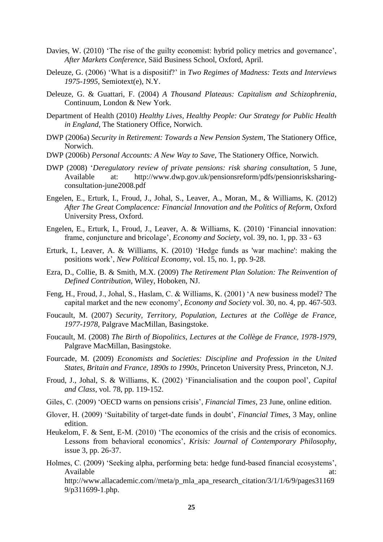- Davies, W. (2010) 'The rise of the guilty economist: hybrid policy metrics and governance', *After Markets Conference*, Säid Business School, Oxford, April.
- Deleuze, G. (2006) 'What is a dispositif?' in *Two Regimes of Madness: Texts and Interviews 1975-1995*, Semiotext(e), N.Y.
- Deleuze, G. & Guattari, F. (2004) *A Thousand Plateaus: Capitalism and Schizophrenia*, Continuum, London & New York.
- Department of Health (2010) *Healthy Lives, Healthy People: Our Strategy for Public Health in England*, The Stationery Office, Norwich.
- DWP (2006a) *Security in Retirement: Towards a New Pension System*, The Stationery Office, Norwich.
- DWP (2006b) *Personal Accounts: A New Way to Save*, The Stationery Office, Norwich.
- DWP (2008) '*Deregulatory review of private pensions: risk sharing consultation*, 5 June, Available at: http://www.dwp.gov.uk/pensionsreform/pdfs/pensionrisksharingconsultation-june2008.pdf
- Engelen, E., Erturk, I., Froud, J., Johal, S., Leaver, A., Moran, M., & Williams, K. (2012) *After The Great Complacence: Financial Innovation and the Politics of Reform*, Oxford University Press, Oxford.
- Engelen, E., Erturk, I., Froud, J., Leaver, A. & Williams, K. (2010) 'Financial innovation: frame, conjuncture and bricolage', *Economy and Society*, vol. 39, no. 1, pp. 33 - 63
- Erturk, I., Leaver, A. & Williams, K. (2010) 'Hedge funds as 'war machine': making the positions work', *New Political Economy*, vol. 15, no. 1, pp. 9-28.
- Ezra, D., Collie, B. & Smith, M.X. (2009) *The Retirement Plan Solution: The Reinvention of Defined Contribution*, Wiley, Hoboken, NJ.
- Feng, H., Froud, J., Johal, S., Haslam, C. & Williams, K. (2001) 'A new business model? The capital market and the new economy', *Economy and Society* vol. 30, no. 4, pp. 467-503.
- Foucault, M. (2007) *Security, Territory, Population, Lectures at the Collège de France, 1977-1978*, Palgrave MacMillan, Basingstoke.
- Foucault, M. (2008) *The Birth of Biopolitics, Lectures at the Collège de France, 1978-1979*, Palgrave MacMillan, Basingstoke.
- Fourcade, M. (2009) *Economists and Societies: Discipline and Profession in the United States, Britain and France, 1890s to 1990s*, Princeton University Press, Princeton, N.J.
- Froud, J., Johal, S. & Williams, K. (2002) 'Financialisation and the coupon pool', *Capital and Class*, vol. 78, pp. 119-152.
- Giles, C. (2009) 'OECD warns on pensions crisis', *Financial Times*, 23 June, online edition.
- Glover, H. (2009) 'Suitability of target-date funds in doubt', *Financial Times*, 3 May, online edition.
- Heukelom, F. & Sent, E-M. (2010) 'The economics of the crisis and the crisis of economics. Lessons from behavioral economics', *Krisis: Journal of Contemporary Philosophy*, issue 3, pp. 26-37.
- Holmes, C. (2009) 'Seeking alpha, performing beta: hedge fund-based financial ecosystems', Available at: http://www.allacademic.com//meta/p\_mla\_apa\_research\_citation/3/1/1/6/9/pages31169 9/p311699-1.php.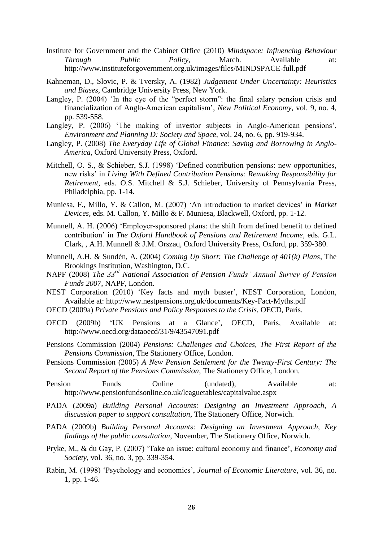- Institute for Government and the Cabinet Office (2010) *Mindspace: Influencing Behaviour Through Public Policy*, March. Available at: http://www.instituteforgovernment.org.uk/images/files/MINDSPACE-full.pdf
- Kahneman, D., Slovic, P. & Tversky, A. (1982) *Judgement Under Uncertainty: Heuristics and Biases*, Cambridge University Press, New York.
- Langley, P. (2004) 'In the eye of the "perfect storm": the final salary pension crisis and financialization of Anglo-American capitalism', *New Political Economy*, vol. 9, no. 4, pp. 539-558.
- Langley, P. (2006) 'The making of investor subjects in Anglo-American pensions', *Environment and Planning D: Society and Space*, vol. 24, no. 6, pp. 919-934.
- Langley, P. (2008) *The Everyday Life of Global Finance: Saving and Borrowing in Anglo-America,* Oxford University Press, Oxford.
- Mitchell, O. S., & Schieber, S.J. (1998) 'Defined contribution pensions: new opportunities, new risks' in *Living With Defined Contribution Pensions: Remaking Responsibility for Retirement*, eds. O.S. Mitchell & S.J. Schieber, University of Pennsylvania Press, Philadelphia, pp. 1-14.
- Muniesa, F., Millo, Y. & Callon, M. (2007) 'An introduction to market devices' in *Market Devices,* eds. M. Callon, Y. Millo & F. Muniesa, Blackwell, Oxford, pp. 1-12.
- Munnell, A. H. (2006) 'Employer-sponsored plans: the shift from defined benefit to defined contribution' in *The Oxford Handbook of Pensions and Retirement Income*, eds. G.L. Clark, , A.H. Munnell & J.M. Orszaq, Oxford University Press, Oxford, pp. 359-380.
- Munnell, A.H. & Sundén, A. (2004) *Coming Up Short: The Challenge of 401(k) Plans*, The Brookings Institution, Washington, D.C.
- NAPF (2008) *The 33rd National Association of Pension Funds' Annual Survey of Pension Funds 2007*, NAPF, London.
- NEST Corporation (2010) 'Key facts and myth buster', NEST Corporation, London, Available at: http://www.nestpensions.org.uk/documents/Key-Fact-Myths.pdf
- OECD (2009a) *Private Pensions and Policy Responses to the Crisis*, OECD, Paris.
- OECD (2009b) 'UK Pensions at a Glance', OECD, Paris, Available at: http://www.oecd.org/dataoecd/31/9/43547091.pdf
- Pensions Commission (2004) *Pensions: Challenges and Choices, The First Report of the Pensions Commission*, The Stationery Office, London.
- Pensions Commission (2005) *A New Pension Settlement for the Twenty-First Century: The Second Report of the Pensions Commission*, The Stationery Office, London.
- Pension Funds Online (undated), Available at: http://www.pensionfundsonline.co.uk/leaguetables/capitalvalue.aspx
- PADA (2009a) *Building Personal Accounts: Designing an Investment Approach, A discussion paper to support consultation*, The Stationery Office, Norwich.
- PADA (2009b) *Building Personal Accounts: Designing an Investment Approach, Key findings of the public consultation*, November, The Stationery Office, Norwich.
- Pryke, M., & du Gay, P. (2007) 'Take an issue: cultural economy and finance', *Economy and Society,* vol. 36, no. 3, pp. 339-354.
- Rabin, M. (1998) 'Psychology and economics', *Journal of Economic Literature*, vol. 36, no. 1, pp. 1-46.